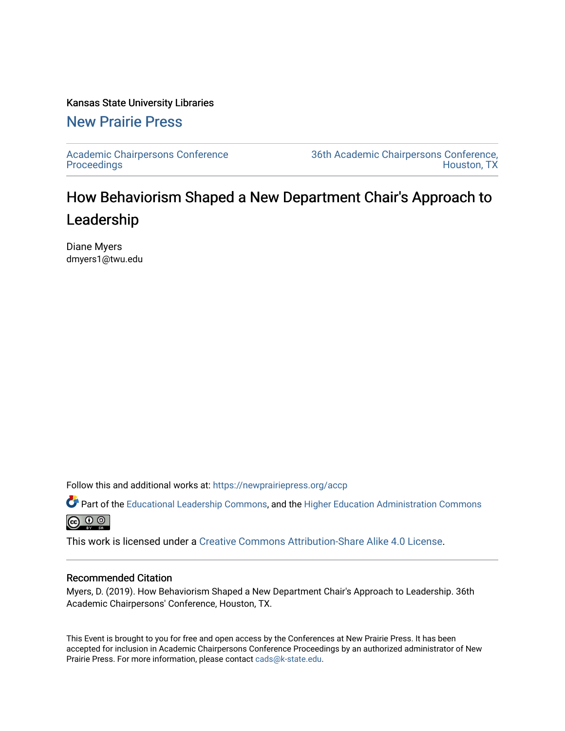## Kansas State University Libraries

## [New Prairie Press](https://newprairiepress.org/)

[Academic Chairpersons Conference](https://newprairiepress.org/accp)  **Proceedings** 

[36th Academic Chairpersons Conference,](https://newprairiepress.org/accp/2019)  [Houston, TX](https://newprairiepress.org/accp/2019) 

## How Behaviorism Shaped a New Department Chair's Approach to Leadership

Diane Myers dmyers1@twu.edu

Follow this and additional works at: [https://newprairiepress.org/accp](https://newprairiepress.org/accp?utm_source=newprairiepress.org%2Faccp%2F2019%2Fworking%2F10&utm_medium=PDF&utm_campaign=PDFCoverPages) 

Part of the [Educational Leadership Commons,](http://network.bepress.com/hgg/discipline/1230?utm_source=newprairiepress.org%2Faccp%2F2019%2Fworking%2F10&utm_medium=PDF&utm_campaign=PDFCoverPages) and the [Higher Education Administration Commons](http://network.bepress.com/hgg/discipline/791?utm_source=newprairiepress.org%2Faccp%2F2019%2Fworking%2F10&utm_medium=PDF&utm_campaign=PDFCoverPages)  $\circledcirc$ 

This work is licensed under a [Creative Commons Attribution-Share Alike 4.0 License.](https://creativecommons.org/licenses/by-sa/4.0/)

## Recommended Citation

Myers, D. (2019). How Behaviorism Shaped a New Department Chair's Approach to Leadership. 36th Academic Chairpersons' Conference, Houston, TX.

This Event is brought to you for free and open access by the Conferences at New Prairie Press. It has been accepted for inclusion in Academic Chairpersons Conference Proceedings by an authorized administrator of New Prairie Press. For more information, please contact [cads@k-state.edu.](mailto:cads@k-state.edu)